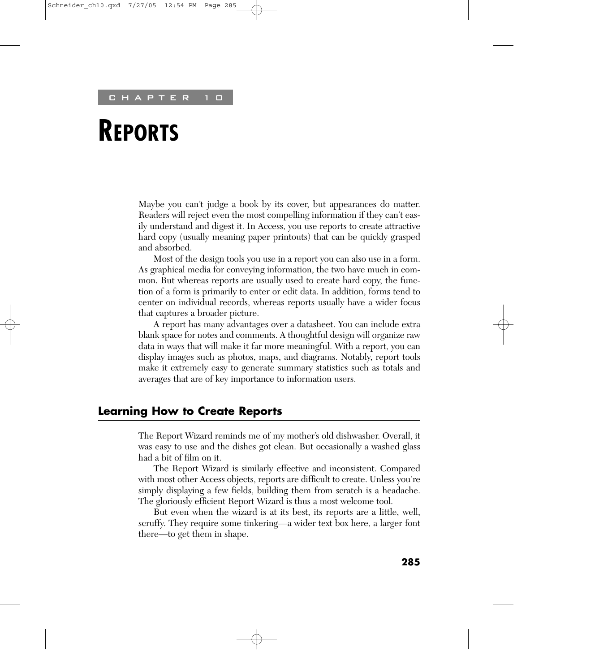#### CHAPTER  $1$  O

# **REPORTS**

Maybe you can't judge a book by its cover, but appearances do matter. Readers will reject even the most compelling information if they can't easily understand and digest it. In Access, you use reports to create attractive hard copy (usually meaning paper printouts) that can be quickly grasped and absorbed.

Most of the design tools you use in a report you can also use in a form. As graphical media for conveying information, the two have much in common. But whereas reports are usually used to create hard copy, the function of a form is primarily to enter or edit data. In addition, forms tend to center on individual records, whereas reports usually have a wider focus that captures a broader picture.

A report has many advantages over a datasheet. You can include extra blank space for notes and comments. A thoughtful design will organize raw data in ways that will make it far more meaningful. With a report, you can display images such as photos, maps, and diagrams. Notably, report tools make it extremely easy to generate summary statistics such as totals and averages that are of key importance to information users.

#### **Learning How to Create Reports**

The Report Wizard reminds me of my mother's old dishwasher. Overall, it was easy to use and the dishes got clean. But occasionally a washed glass had a bit of film on it.

The Report Wizard is similarly effective and inconsistent. Compared with most other Access objects, reports are difficult to create. Unless you're simply displaying a few fields, building them from scratch is a headache. The gloriously efficient Report Wizard is thus a most welcome tool.

But even when the wizard is at its best, its reports are a little, well, scruffy. They require some tinkering—a wider text box here, a larger font there—to get them in shape.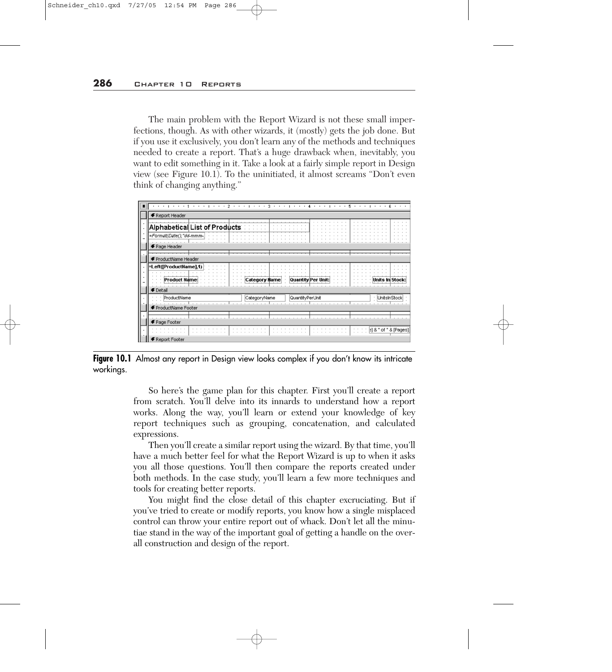#### **286** Chapter 10 Reports

The main problem with the Report Wizard is not these small imperfections, though. As with other wizards, it (mostly) gets the job done. But if you use it exclusively, you don't learn any of the methods and techniques needed to create a report. That's a huge drawback when, inevitably, you want to edit something in it. Take a look at a fairly simple report in Design view (see Figure 10.1). To the uninitiated, it almost screams "Don't even think of changing anything."

| ← Report Header                                |                |                    |                      |
|------------------------------------------------|----------------|--------------------|----------------------|
| Alphabetical List of Products                  |                |                    |                      |
| =Format(Date(),"dd-mmm-                        |                |                    |                      |
| ← Page Header                                  |                |                    |                      |
| € ProductName Header                           |                |                    |                      |
| ELeft([ProductName],1)<br><b>Product Name:</b> | Category Marne | Quantity Per Unit: | Stock:<br>linits in  |
| <b>←</b> Detail                                |                |                    |                      |
| ProductName                                    | CategoryName   | QuantityPerUnit    | UnitsInStock         |
| € ProductName Footer                           |                |                    |                      |
| ← Page Footer                                  |                |                    |                      |
|                                                |                |                    | BI& " of " & [Pages] |
| ← Report Footer                                |                |                    |                      |

**Figure 10.1** Almost any report in Design view looks complex if you don't know its intricate workings.

So here's the game plan for this chapter. First you'll create a report from scratch. You'll delve into its innards to understand how a report works. Along the way, you'll learn or extend your knowledge of key report techniques such as grouping, concatenation, and calculated expressions.

Then you'll create a similar report using the wizard. By that time, you'll have a much better feel for what the Report Wizard is up to when it asks you all those questions. You'll then compare the reports created under both methods. In the case study, you'll learn a few more techniques and tools for creating better reports.

You might find the close detail of this chapter excruciating. But if you've tried to create or modify reports, you know how a single misplaced control can throw your entire report out of whack. Don't let all the minutiae stand in the way of the important goal of getting a handle on the overall construction and design of the report.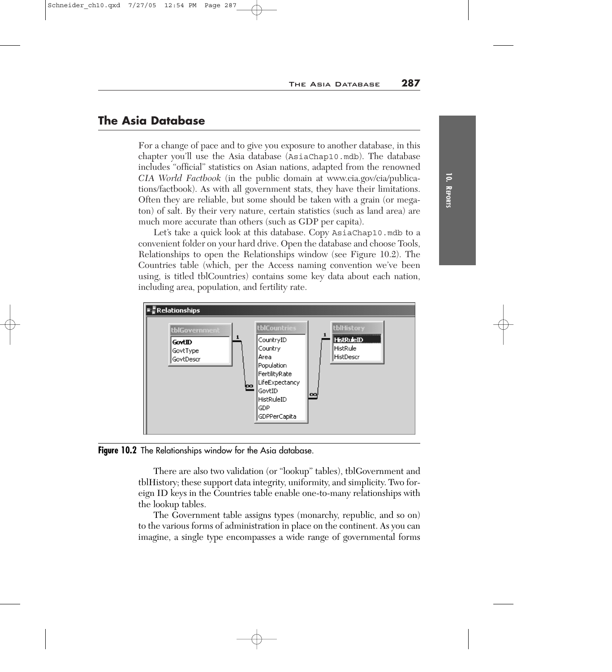## **The Asia Database**

For a change of pace and to give you exposure to another database, in this chapter you'll use the Asia database (AsiaChap10.mdb). The database includes "official" statistics on Asian nations, adapted from the renowned *CIA World Factbook* (in the public domain at www.cia.gov/cia/publications/factbook). As with all government stats, they have their limitations. Often they are reliable, but some should be taken with a grain (or megaton) of salt. By their very nature, certain statistics (such as land area) are much more accurate than others (such as GDP per capita).

Let's take a quick look at this database. Copy AsiaChap10.mdb to a convenient folder on your hard drive. Open the database and choose Tools, Relationships to open the Relationships window (see Figure 10.2). The Countries table (which, per the Access naming convention we've been using, is titled tblCountries) contains some key data about each nation, including area, population, and fertility rate.



#### **Figure 10.2** The Relationships window for the Asia database.

There are also two validation (or "lookup" tables), tblGovernment and tblHistory; these support data integrity, uniformity, and simplicity. Two foreign ID keys in the Countries table enable one-to-many relationships with the lookup tables.

The Government table assigns types (monarchy, republic, and so on) to the various forms of administration in place on the continent. As you can imagine, a single type encompasses a wide range of governmental forms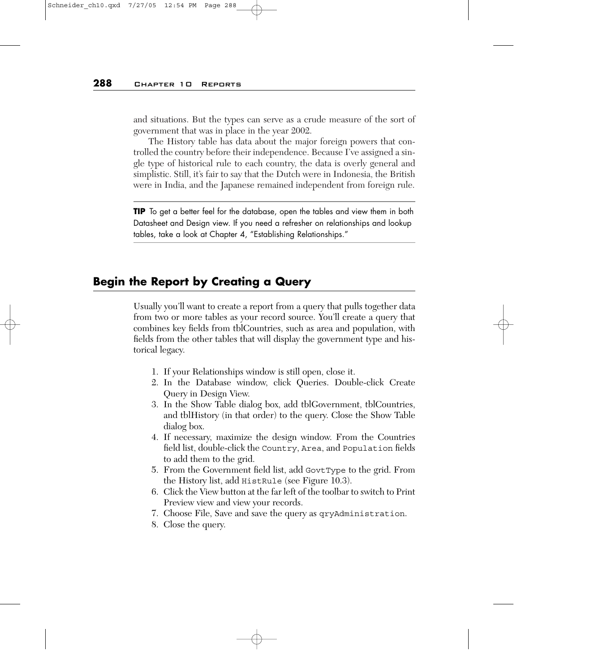and situations. But the types can serve as a crude measure of the sort of government that was in place in the year 2002.

The History table has data about the major foreign powers that controlled the country before their independence. Because I've assigned a single type of historical rule to each country, the data is overly general and simplistic. Still, it's fair to say that the Dutch were in Indonesia, the British were in India, and the Japanese remained independent from foreign rule.

**TIP** To get a better feel for the database, open the tables and view them in both Datasheet and Design view. If you need a refresher on relationships and lookup tables, take a look at Chapter 4, "Establishing Relationships."

### **Begin the Report by Creating a Query**

Usually you'll want to create a report from a query that pulls together data from two or more tables as your record source. You'll create a query that combines key fields from tblCountries, such as area and population, with fields from the other tables that will display the government type and historical legacy.

- 1. If your Relationships window is still open, close it.
- 2. In the Database window, click Queries. Double-click Create Query in Design View.
- 3. In the Show Table dialog box, add tblGovernment, tblCountries, and tblHistory (in that order) to the query. Close the Show Table dialog box.
- 4. If necessary, maximize the design window. From the Countries field list, double-click the Country, Area, and Population fields to add them to the grid.
- 5. From the Government field list, add GovtType to the grid. From the History list, add HistRule (see Figure 10.3).
- 6. Click the View button at the far left of the toolbar to switch to Print Preview view and view your records.
- 7. Choose File, Save and save the query as qryAdministration.
- 8. Close the query.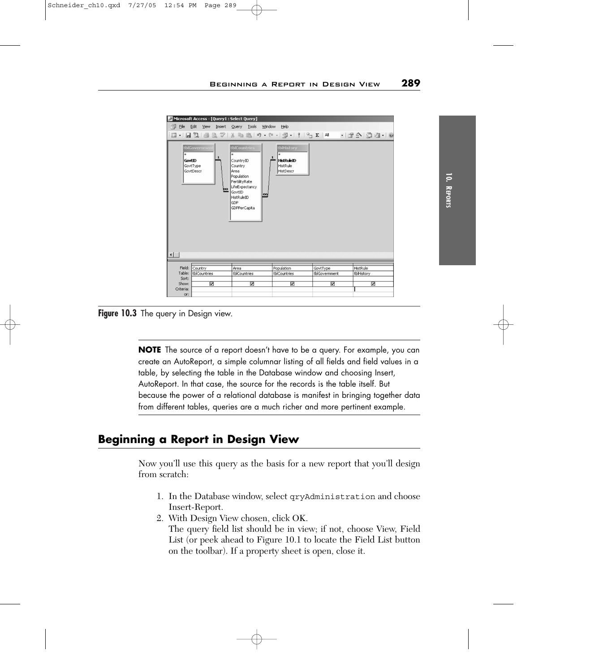#### Beginning a Report in Design View**289**

**10.**

 **REPORTS**





**NOTE** The source of a report doesn't have to be a query. For example, you can create an AutoReport, a simple columnar listing of all fields and field values in a table, by selecting the table in the Database window and choosing Insert, AutoReport. In that case, the source for the records is the table itself. But because the power of a relational database is manifest in bringing together data from different tables, queries are a much richer and more pertinent example.

#### **Beginning a Report in Design View**

Now you'll use this query as the basis for a new report that you'll design from scratch:

- 1. In the Database window, select qryAdministration and choose Insert-Report.
- 2. With Design View chosen, click OK.

The query field list should be in view; if not, choose View, Field List (or peek ahead to Figure 10.1 to locate the Field List button on the toolbar). If a property sheet is open, close it.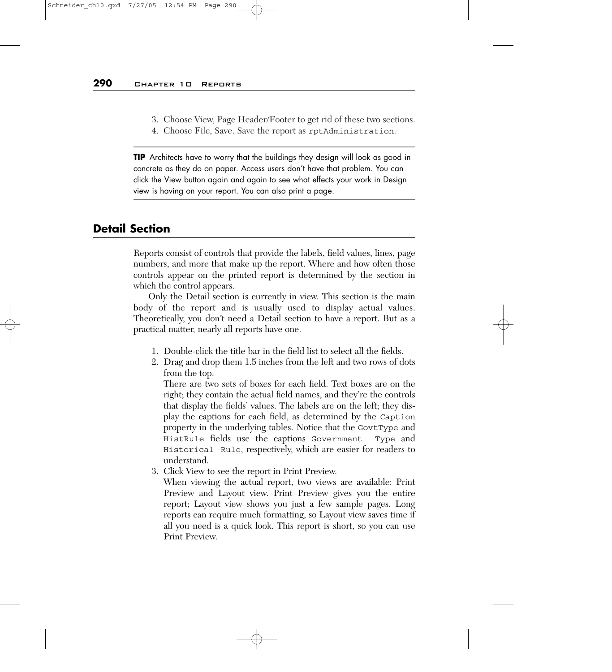- 3. Choose View, Page Header/Footer to get rid of these two sections.
- 4. Choose File, Save. Save the report as rptAdministration.

**TIP** Architects have to worry that the buildings they design will look as good in concrete as they do on paper. Access users don't have that problem. You can click the View button again and again to see what effects your work in Design view is having on your report. You can also print a page.

#### **Detail Section**

Reports consist of controls that provide the labels, field values, lines, page numbers, and more that make up the report. Where and how often those controls appear on the printed report is determined by the section in which the control appears.

Only the Detail section is currently in view. This section is the main body of the report and is usually used to display actual values. Theoretically, you don't need a Detail section to have a report. But as a practical matter, nearly all reports have one.

- 1. Double-click the title bar in the field list to select all the fields.
- 2. Drag and drop them 1.5 inches from the left and two rows of dots from the top.

There are two sets of boxes for each field. Text boxes are on the right; they contain the actual field names, and they're the controls that display the fields' values. The labels are on the left; they display the captions for each field, as determined by the Caption property in the underlying tables. Notice that the GovtType and HistRule fields use the captions Government Type and Historical Rule, respectively, which are easier for readers to understand.

3. Click View to see the report in Print Preview.

When viewing the actual report, two views are available: Print Preview and Layout view. Print Preview gives you the entire report; Layout view shows you just a few sample pages. Long reports can require much formatting, so Layout view saves time if all you need is a quick look. This report is short, so you can use Print Preview.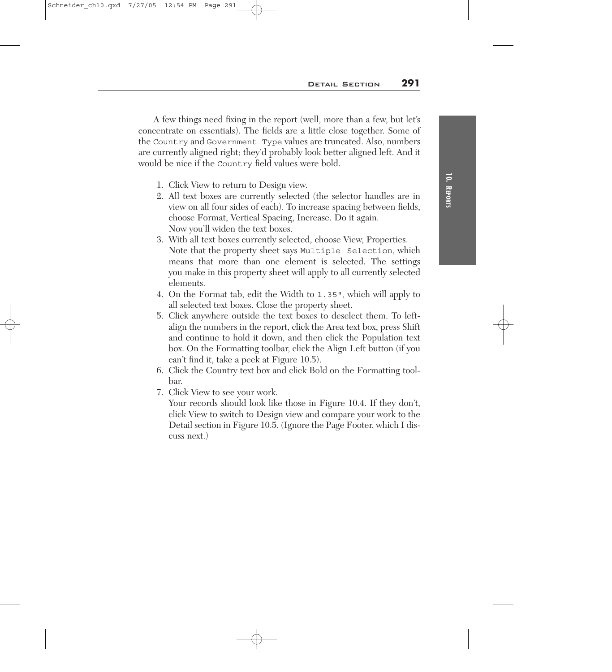A few things need fixing in the report (well, more than a few, but let's concentrate on essentials). The fields are a little close together. Some of the Country and Government Type values are truncated. Also, numbers are currently aligned right; they'd probably look better aligned left. And it would be nice if the Country field values were bold.

- 1. Click View to return to Design view.
- 2. All text boxes are currently selected (the selector handles are in view on all four sides of each). To increase spacing between fields, choose Format, Vertical Spacing, Increase. Do it again. Now you'll widen the text boxes.
- 3. With all text boxes currently selected, choose View, Properties. Note that the property sheet says Multiple Selection, which means that more than one element is selected. The settings you make in this property sheet will apply to all currently selected elements.
- 4. On the Format tab, edit the Width to 1.35", which will apply to all selected text boxes. Close the property sheet.
- 5. Click anywhere outside the text boxes to deselect them. To leftalign the numbers in the report, click the Area text box, press Shift and continue to hold it down, and then click the Population text box. On the Formatting toolbar, click the Align Left button (if you can't find it, take a peek at Figure 10.5).
- 6. Click the Country text box and click Bold on the Formatting toolbar.
- 7. Click View to see your work.

Your records should look like those in Figure 10.4. If they don't, click View to switch to Design view and compare your work to the Detail section in Figure 10.5. (Ignore the Page Footer, which I discuss next.)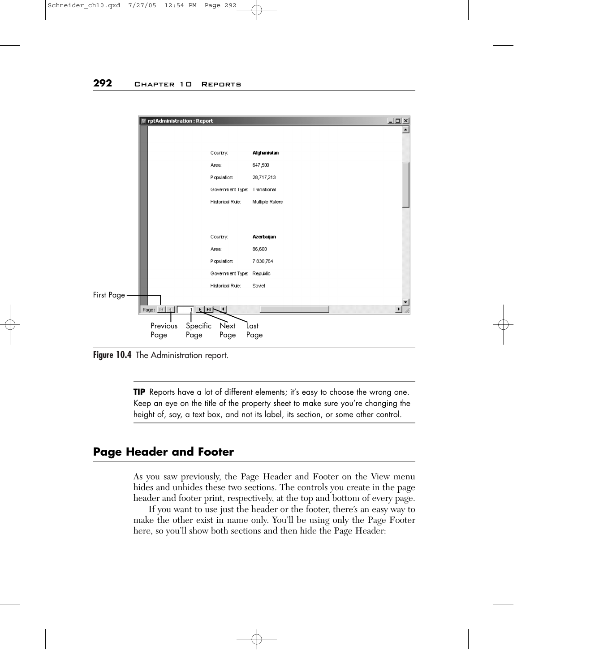#### **292** Chapter 10 Reports

| rptAdministration: Report |                                  |                 | $\underline{\Box\Box}\times$ |
|---------------------------|----------------------------------|-----------------|------------------------------|
|                           |                                  |                 |                              |
|                           |                                  |                 |                              |
|                           | Country:                         | Afghanistan     |                              |
|                           | Area:                            | 647,500         |                              |
|                           | P opulation:                     | 28,717,213      |                              |
|                           | Government Type: Transitional    |                 |                              |
|                           | Historical Rule:                 | Multiple Rulers |                              |
|                           |                                  |                 |                              |
|                           |                                  |                 |                              |
|                           | Country.                         | Azerbaijan      |                              |
|                           | Area:                            | 86,600          |                              |
|                           | P opulation:                     | 7,830,764       |                              |
|                           | Government Type: Republic        |                 |                              |
|                           | Historical Rule:                 | Soviet          |                              |
| First Page -              |                                  |                 |                              |
| Page: III                 | ⊁   ⊧⊧                           |                 |                              |
|                           |                                  |                 |                              |
|                           |                                  |                 |                              |
| Previous<br>Page          | Next<br>Specific<br>Page<br>Page | Last<br>Page    |                              |

**Figure 10.4** The Administration report.

**TIP** Reports have a lot of different elements; it's easy to choose the wrong one. Keep an eye on the title of the property sheet to make sure you're changing the height of, say, a text box, and not its label, its section, or some other control.

#### **Page Header and Footer**

As you saw previously, the Page Header and Footer on the View menu hides and unhides these two sections. The controls you create in the page header and footer print, respectively, at the top and bottom of every page.

If you want to use just the header or the footer, there's an easy way to make the other exist in name only. You'll be using only the Page Footer here, so you'll show both sections and then hide the Page Header: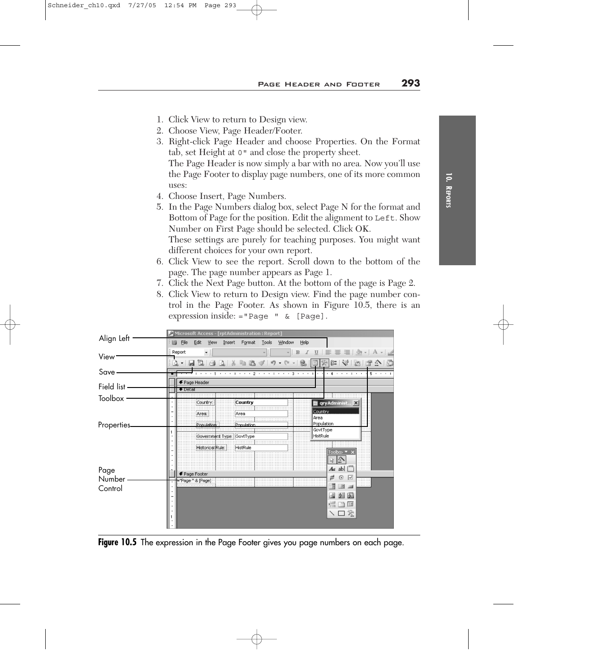#### Page Header and Footer**293**

- 2. Choose View, Page Header/Footer.
- 3. Right-click Page Header and choose Properties. On the Format tab, set Height at 0" and close the property sheet.

The Page Header is now simply a bar with no area. Now you'll use the Page Footer to display page numbers, one of its more common uses:

- 4. Choose Insert, Page Numbers.
- 5. In the Page Numbers dialog box, select Page N for the format and Bottom of Page for the position. Edit the alignment to Left. Show Number on First Page should be selected. Click OK.

These settings are purely for teaching purposes. You might want different choices for your own report.

- 6. Click View to see the report. Scroll down to the bottom of the page. The page number appears as Page 1.
- 7. Click the Next Page button. At the bottom of the page is Page 2.
- 8. Click View to return to Design view. Find the page number control in the Page Footer. As shown in Figure 10.5, there is an expression inside: ="Page " & [Page].

|                   | Microsoft Access - [rptAdministration : Report]                                                         |
|-------------------|---------------------------------------------------------------------------------------------------------|
| Align Left        | File<br>Edit<br>Insert<br>Format<br>Window<br>目<br>View<br>Tools<br>Help                                |
| View <sup>-</sup> | U   틀 틀 킄   ♨ -   A -   ⊿<br>Report<br>$\mathbf{F} \parallel \mathbf{B} \parallel I$<br>۰               |
|                   | 1公司的审判公司<br>g<br>LA.<br>("M<br>巨<br>叼                                                                   |
| Save-             | * * * 1 * * * 2 * * * 1 * * * 3 * * * 1<br><b>CALCULATION</b><br>5 - - - -                              |
| Field list        | ← Page Header                                                                                           |
|                   | ⊁ Detail                                                                                                |
| Toolbox           | Country:<br>Country<br><b>E</b> qryAdminist <b>⊠</b><br>Country<br> Area∷i<br>Area                      |
| Properties-       | Area<br>Population<br>Population<br>::::::::   Population<br>GovtType                                   |
|                   | HistRule<br>Government Type: GovtType                                                                   |
| Page              | <b>Historical Rule: L</b><br>HistRule<br> Toolbo> ▼ ><br>$\frac{1}{2}$<br>$A\alpha$ ab $\left  \right $ |
|                   | F Page Footer<br>F.<br>$\odot$<br>$\triangledown$                                                       |
| Number<br>Control | :"Page:":&[Page];<br>d.<br>$\Box$<br>K<br><u> 14 Ni</u><br>信じ国<br>ノロ浴                                   |

**Figure 10.5** The expression in the Page Footer gives you page numbers on each page.

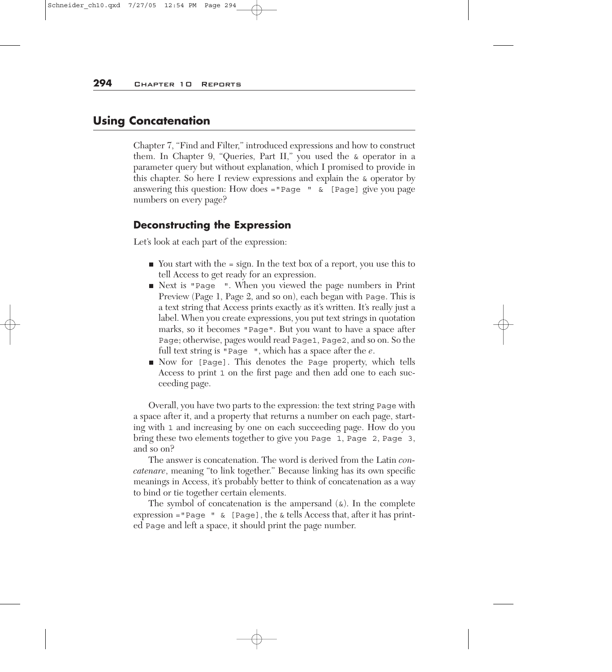#### **Using Concatenation**

Chapter 7, "Find and Filter," introduced expressions and how to construct them. In Chapter 9, "Queries, Part II," you used the & operator in a parameter query but without explanation, which I promised to provide in this chapter. So here I review expressions and explain the & operator by answering this question: How does ="Page " & [Page] give you page numbers on every page?

#### **Deconstructing the Expression**

Let's look at each part of the expression:

- You start with the = sign. In the text box of a report, you use this to tell Access to get ready for an expression.
- Next is "Page ". When you viewed the page numbers in Print Preview (Page 1, Page 2, and so on), each began with Page. This is a text string that Access prints exactly as it's written. It's really just a label. When you create expressions, you put text strings in quotation marks, so it becomes "Page". But you want to have a space after Page; otherwise, pages would read Page1, Page2, and so on. So the full text string is "Page ", which has a space after the *e*.
- Now for [Page]. This denotes the Page property, which tells Access to print 1 on the first page and then add one to each succeeding page.

Overall, you have two parts to the expression: the text string Page with a space after it, and a property that returns a number on each page, starting with 1 and increasing by one on each succeeding page. How do you bring these two elements together to give you Page 1, Page 2, Page 3, and so on?

The answer is concatenation. The word is derived from the Latin *concatenare*, meaning "to link together." Because linking has its own specific meanings in Access, it's probably better to think of concatenation as a way to bind or tie together certain elements.

The symbol of concatenation is the ampersand  $(\alpha)$ . In the complete expression = "Page "  $\&$  [Page], the  $\&$  tells Access that, after it has printed Page and left a space, it should print the page number.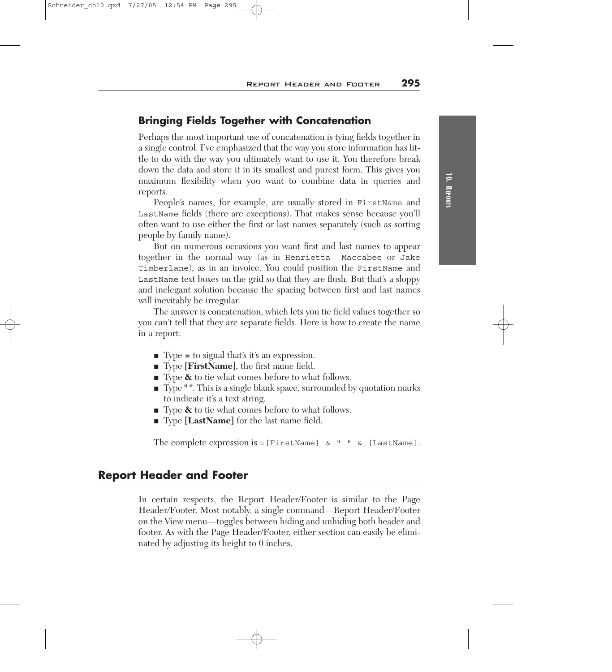**10.**

 **REPORTS**

## **Bringing Fields Together with Concatenation**

Perhaps the most important use of concatenation is tying fields together in a single control. I've emphasized that the way you store information has little to do with the way you ultimately want to use it. You therefore break down the data and store it in its smallest and purest form. This gives you maximum flexibility when you want to combine data in queries and reports.

People's names, for example, are usually stored in FirstName and LastName fields (there are exceptions). That makes sense because you'll often want to use either the first or last names separately (such as sorting people by family name).

But on numerous occasions you want first and last names to appear together in the normal way (as in Henrietta Maccabee or Jake Timberlane), as in an invoice. You could position the FirstName and LastName text boxes on the grid so that they are flush. But that's a sloppy and inelegant solution because the spacing between first and last names will inevitably be irregular.

The answer is concatenation, which lets you tie field values together so you can't tell that they are separate fields. Here is how to create the name in a report:

- Type **=** to signal that's it's an expression.
- Type **[FirstName]**, the first name field.
- Type **&** to tie what comes before to what follows.
- Type **"** ". This is a single blank space, surrounded by quotation marks to indicate it's a text string.
- Type **&** to tie what comes before to what follows.
- Type **[LastName**] for the last name field.

The complete expression is = [FirstName] & " " & [LastName].

## **Report Header and Footer**

In certain respects, the Report Header/Footer is similar to the Page Header/Footer. Most notably, a single command—Report Header/Footer on the View menu—toggles between hiding and unhiding both header and footer. As with the Page Header/Footer, either section can easily be eliminated by adjusting its height to 0 inches.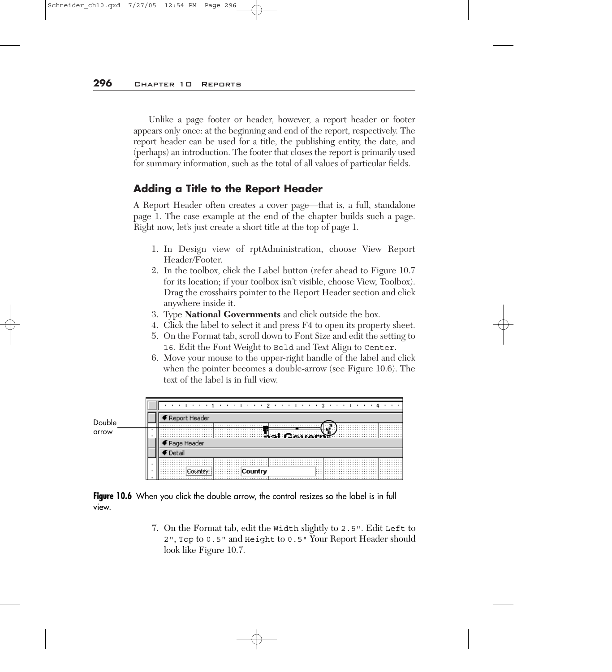Schneider\_ch10.qxd 7/27/05 12:54 PM Page 296

Unlike a page footer or header, however, a report header or footer appears only once: at the beginning and end of the report, respectively. The report header can be used for a title, the publishing entity, the date, and (perhaps) an introduction. The footer that closes the report is primarily used for summary information, such as the total of all values of particular fields.

#### **Adding a Title to the Report Header**

A Report Header often creates a cover page—that is, a full, standalone page 1. The case example at the end of the chapter builds such a page. Right now, let's just create a short title at the top of page 1.

- 1. In Design view of rptAdministration, choose View Report Header/Footer.
- 2. In the toolbox, click the Label button (refer ahead to Figure 10.7 for its location; if your toolbox isn't visible, choose View, Toolbox). Drag the crosshairs pointer to the Report Header section and click anywhere inside it.
- 3. Type **National Governments** and click outside the box.
- 4. Click the label to select it and press F4 to open its property sheet.
- 5. On the Format tab, scroll down to Font Size and edit the setting to 16. Edit the Font Weight to Bold and Text Align to Center.
- 6. Move your mouse to the upper-right handle of the label and click when the pointer becomes a double-arrow (see Figure 10.6). The text of the label is in full view.

|                | € Report Header                               |
|----------------|-----------------------------------------------|
|                |                                               |
| $\,$           | . <u>.</u><br>ast:rΩaayaana <del>al</del> k∷: |
|                | $\blacklozenge$ Page Header                   |
|                | $\mathsf F$ Detail                            |
| $\blacksquare$ | `ountrv                                       |
|                |                                               |

**Figure 10.6** When you click the double arrow, the control resizes so the label is in full view.

> 7. On the Format tab, edit the Width slightly to 2.5". Edit Left to 2", Top to 0.5" and Height to 0.5" Your Report Header should look like Figure 10.7.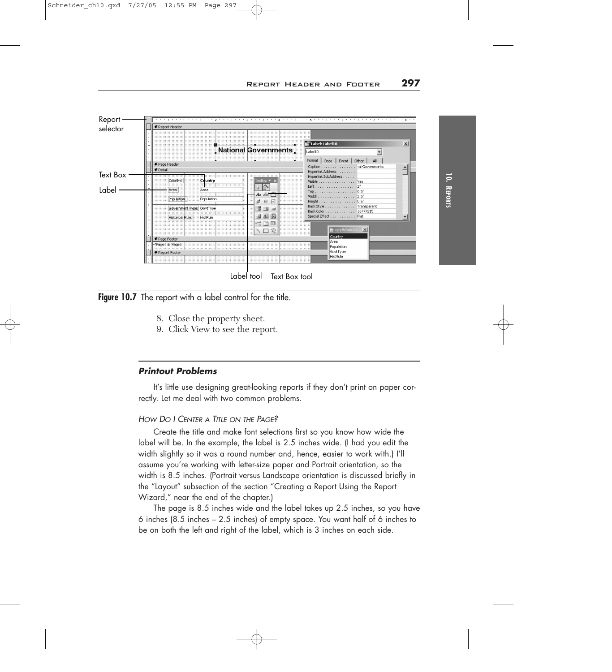#### Report Header and Footer**297**



8. Close the property sheet.

**Figure 10.7** The report with a label control for the title.

9. Click View to see the report.

#### *Printout Problems*

It's little use designing great-looking reports if they don't print on paper correctly. Let me deal with two common problems.

#### *HOW DO I CENTER A TITLE ON THE PAGE?*

Create the title and make font selections first so you know how wide the label will be. In the example, the label is 2.5 inches wide. (I had you edit the width slightly so it was a round number and, hence, easier to work with.) I'll assume you're working with letter-size paper and Portrait orientation, so the width is 8.5 inches. (Portrait versus Landscape orientation is discussed briefly in the "Layout" subsection of the section "Creating a Report Using the Report Wizard," near the end of the chapter.)

The page is 8.5 inches wide and the label takes up 2.5 inches, so you have 6 inches (8.5 inches – 2.5 inches) of empty space. You want half of 6 inches to be on both the left and right of the label, which is 3 inches on each side.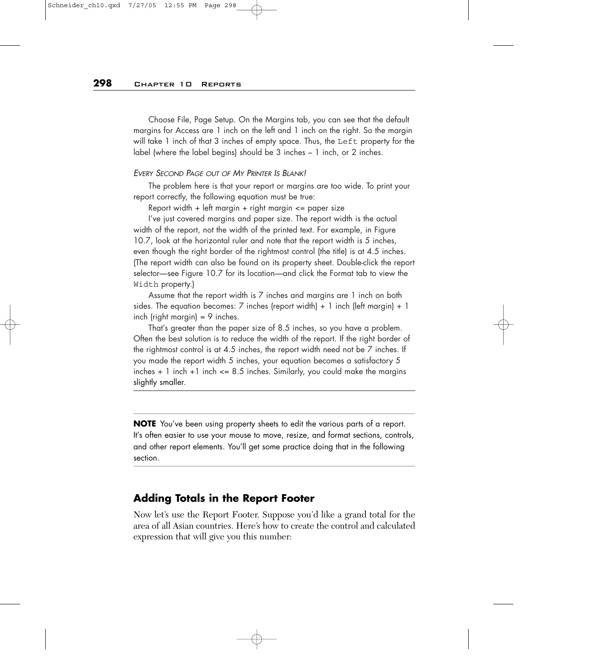Schneider\_ch10.qxd 7/27/05 12:55 PM Page 298

Choose File, Page Setup. On the Margins tab, you can see that the default margins for Access are 1 inch on the left and 1 inch on the right. So the margin will take 1 inch of that 3 inches of empty space. Thus, the Left property for the label (where the label begins) should be 3 inches – 1 inch, or 2 inches.

#### *EVERY SECOND PAGE OUT OF MY PRINTER IS BLANK!*

The problem here is that your report or margins are too wide. To print your report correctly, the following equation must be true:

Report width  $+$  left margin  $+$  right margin  $\leq$  paper size

I've just covered margins and paper size. The report width is the actual width of the report, not the width of the printed text. For example, in Figure 10.7, look at the horizontal ruler and note that the report width is 5 inches, even though the right border of the rightmost control (the title) is at 4.5 inches. (The report width can also be found on its property sheet. Double-click the report selector—see Figure 10.7 for its location—and click the Format tab to view the Width property.)

Assume that the report width is 7 inches and margins are 1 inch on both sides. The equation becomes: 7 inches (report width) + 1 inch (left margin) + 1 inch (right margin) = 9 inches.

That's greater than the paper size of 8.5 inches, so you have a problem. Often the best solution is to reduce the width of the report. If the right border of the rightmost control is at 4.5 inches, the report width need not be 7 inches. If you made the report width 5 inches, your equation becomes a satisfactory 5 inches  $+1$  inch  $+1$  inch  $\leq 8.5$  inches. Similarly, you could make the margins slightly smaller.

**NOTE** You've been using property sheets to edit the various parts of a report. It's often easier to use your mouse to move, resize, and format sections, controls, and other report elements. You'll get some practice doing that in the following section.

#### **Adding Totals in the Report Footer**

Now let's use the Report Footer. Suppose you'd like a grand total for the area of all Asian countries. Here's how to create the control and calculated expression that will give you this number: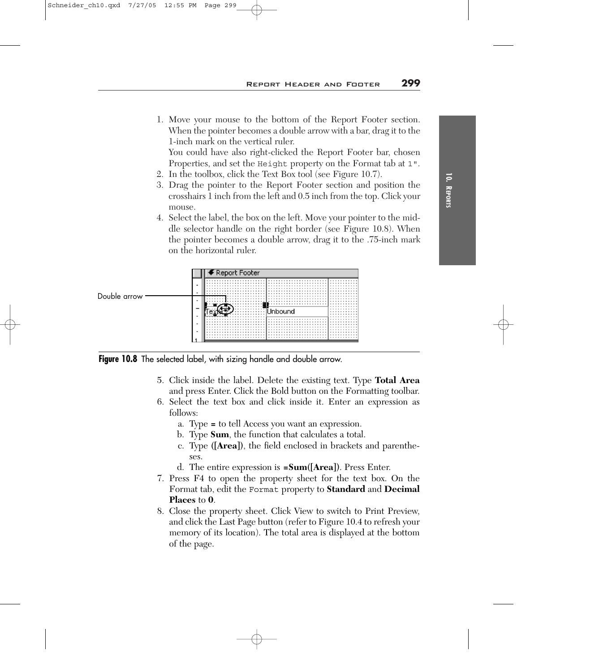1. Move your mouse to the bottom of the Report Footer section. When the pointer becomes a double arrow with a bar, drag it to the 1-inch mark on the vertical ruler.

You could have also right-clicked the Report Footer bar, chosen Properties, and set the Height property on the Format tab at 1".

- 2. In the toolbox, click the Text Box tool (see Figure 10.7).
- 3. Drag the pointer to the Report Footer section and position the crosshairs 1 inch from the left and 0.5 inch from the top. Click your mouse.
- 4. Select the label, the box on the left. Move your pointer to the middle selector handle on the right border (see Figure 10.8). When the pointer becomes a double arrow, drag it to the .75-inch mark on the horizontal ruler.





- 5. Click inside the label. Delete the existing text. Type **Total Area** and press Enter. Click the Bold button on the Formatting toolbar.
- 6. Select the text box and click inside it. Enter an expression as follows:
	- a. Type **=** to tell Access you want an expression.
	- b. Type **Sum**, the function that calculates a total.
	- c. Type **([Area])**, the field enclosed in brackets and parentheses.
	- d. The entire expression is **=Sum([Area])**. Press Enter.
- 7. Press F4 to open the property sheet for the text box. On the Format tab, edit the Format property to **Standard** and **Decimal Places** to **0**.
- 8. Close the property sheet. Click View to switch to Print Preview, and click the Last Page button (refer to Figure 10.4 to refresh your memory of its location). The total area is displayed at the bottom of the page.

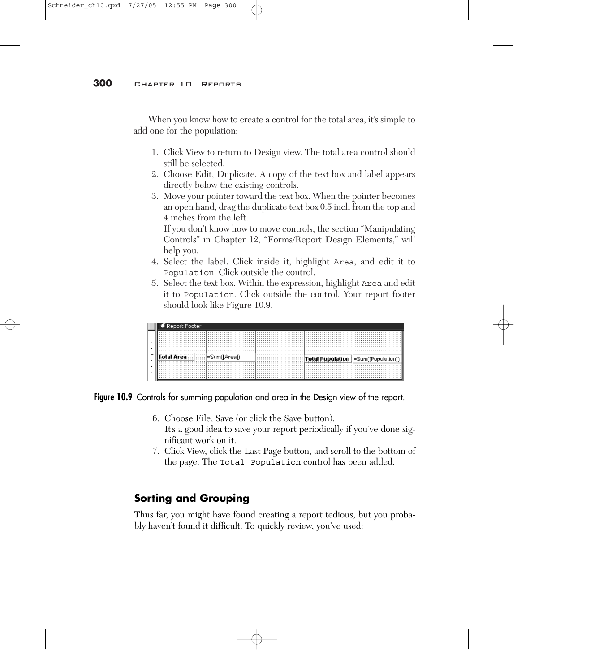When you know how to create a control for the total area, it's simple to add one for the population:

- 1. Click View to return to Design view. The total area control should still be selected.
- 2. Choose Edit, Duplicate. A copy of the text box and label appears directly below the existing controls.
- 3. Move your pointer toward the text box. When the pointer becomes an open hand, drag the duplicate text box 0.5 inch from the top and 4 inches from the left.

If you don't know how to move controls, the section "Manipulating Controls" in Chapter 12, "Forms/Report Design Elements," will help you.

- 4. Select the label. Click inside it, highlight Area, and edit it to Population. Click outside the control.
- 5. Select the text box. Within the expression, highlight Area and edit it to Population. Click outside the control. Your report footer should look like Figure 10.9.

|                          | Report Footer                      |             |
|--------------------------|------------------------------------|-------------|
| $\overline{\phantom{a}}$ | $\cdots$                           | .           |
| ۰                        |                                    | .<br>.<br>. |
| ۰<br>-                   | $\cdots$<br>$\cdots$               | .<br>.      |
| ۰                        | real.<br>$\cdots$<br>$\cdots$<br>. |             |
| ۰                        |                                    | .           |
|                          |                                    | .           |

**Figure 10.9** Controls for summing population and area in the Design view of the report.

- 6. Choose File, Save (or click the Save button).
- It's a good idea to save your report periodically if you've done significant work on it.
- 7. Click View, click the Last Page button, and scroll to the bottom of the page. The Total Population control has been added.

## **Sorting and Grouping**

Thus far, you might have found creating a report tedious, but you probably haven't found it difficult. To quickly review, you've used: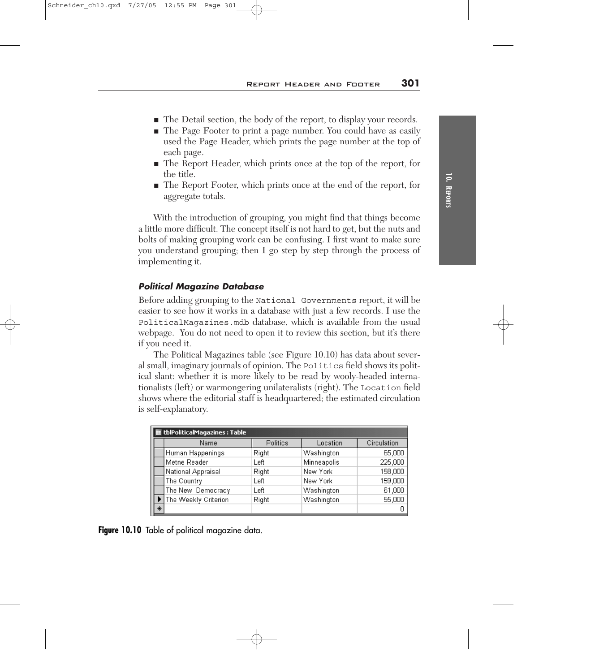- The Detail section, the body of the report, to display your records.
- The Page Footer to print a page number. You could have as easily used the Page Header, which prints the page number at the top of each page.
- The Report Header, which prints once at the top of the report, for the title.
- The Report Footer, which prints once at the end of the report, for aggregate totals.

With the introduction of grouping, you might find that things become a little more difficult. The concept itself is not hard to get, but the nuts and bolts of making grouping work can be confusing. I first want to make sure you understand grouping; then I go step by step through the process of implementing it.

#### *Political Magazine Database*

Before adding grouping to the National Governments report, it will be easier to see how it works in a database with just a few records. I use the PoliticalMagazines.mdb database, which is available from the usual webpage. You do not need to open it to review this section, but it's there if you need it.

The Political Magazines table (see Figure 10.10) has data about several small, imaginary journals of opinion. The Politics field shows its political slant: whether it is more likely to be read by wooly-headed internationalists (left) or warmongering unilateralists (right). The Location field shows where the editorial staff is headquartered; the estimated circulation is self-explanatory.

|   | tblPoliticalMagazines: Table |                 |             |             |  |  |  |  |  |
|---|------------------------------|-----------------|-------------|-------------|--|--|--|--|--|
|   | Name                         | <b>Politics</b> | Location    | Circulation |  |  |  |  |  |
|   | Human Happenings             | Right           | Washington  | 65,000      |  |  |  |  |  |
|   | Metne Reader                 | Left            | Minneapolis | 225,000     |  |  |  |  |  |
|   | National Appraisal           | Right           | New York    | 158,000     |  |  |  |  |  |
|   | The Country                  | Left            | New York    | 159,000     |  |  |  |  |  |
|   | The New Democracy            | Left            | Washington  | 61,000      |  |  |  |  |  |
|   | The Weekly Criterion         | Right           | Washington  | 55,000      |  |  |  |  |  |
| ⋇ |                              |                 |             |             |  |  |  |  |  |

**Figure 10.10** Table of political magazine data.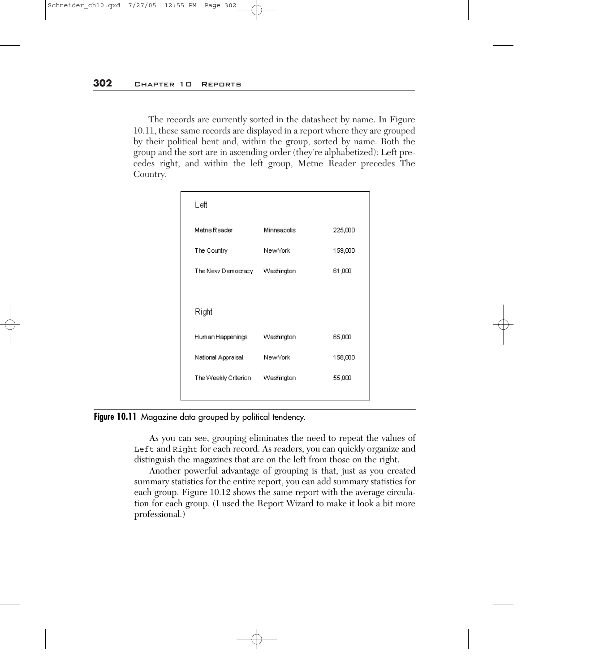#### **302** Chapter 10 Reports

The records are currently sorted in the datasheet by name. In Figure 10.11, these same records are displayed in a report where they are grouped by their political bent and, within the group, sorted by name. Both the group and the sort are in ascending order (they're alphabetized): Left precedes right, and within the left group, Metne Reader precedes The Country.

| Left                 |             |         |
|----------------------|-------------|---------|
| Metne Reader         | Minneapolis | 225,000 |
| The Country          | New York    | 159,000 |
| The New Democracy    | Washington  | 61,000  |
|                      |             |         |
| Right                |             |         |
| Human Happenings     | Washington  | 65,000  |
| National Appraisal   | New York    | 158,000 |
| The Weekly Criterion | Washington  | 55,000  |
|                      |             |         |

#### **Figure 10.11** Magazine data grouped by political tendency.

As you can see, grouping eliminates the need to repeat the values of Left and Right for each record. As readers, you can quickly organize and distinguish the magazines that are on the left from those on the right.

Another powerful advantage of grouping is that, just as you created summary statistics for the entire report, you can add summary statistics for each group. Figure 10.12 shows the same report with the average circulation for each group. (I used the Report Wizard to make it look a bit more professional.)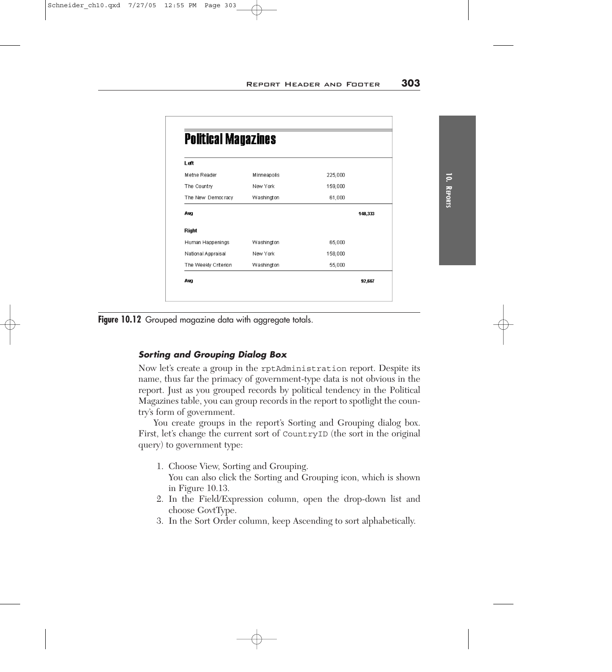#### Report Header and Footer**303**

**10. REPORTS**

| Left                 |             |         |         |
|----------------------|-------------|---------|---------|
| Metne Reader         | Minneapolis | 225,000 |         |
| The Country          | New York    | 159,000 |         |
| The New Democracy    | Washington  | 61,000  |         |
| Avg                  |             |         | 148,333 |
| Right                |             |         |         |
| Human Happenings     | Washington  | 65,000  |         |
| National Appraisal   | New York    | 158,000 |         |
| The Weekly Criterion | Washington  | 55,000  |         |

**Figure 10.12** Grouped magazine data with aggregate totals.

#### *Sorting and Grouping Dialog Box*

Now let's create a group in the rptAdministration report. Despite its name, thus far the primacy of government-type data is not obvious in the report. Just as you grouped records by political tendency in the Political Magazines table, you can group records in the report to spotlight the country's form of government.

You create groups in the report's Sorting and Grouping dialog box. First, let's change the current sort of CountryID (the sort in the original query) to government type:

- 1. Choose View, Sorting and Grouping. You can also click the Sorting and Grouping icon, which is shown in Figure 10.13.
- 2. In the Field/Expression column, open the drop-down list and choose GovtType.
- 3. In the Sort Order column, keep Ascending to sort alphabetically.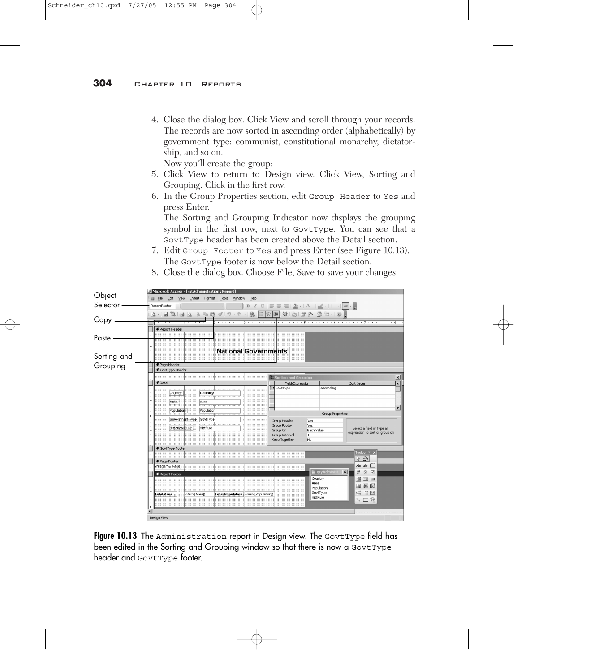#### Schneider\_ch10.qxd 7/27/05 12:55 PM Page 304

#### **304** Chapter 10 Reports

4. Close the dialog box. Click View and scroll through your records. The records are now sorted in ascending order (alphabetically) by government type: communist, constitutional monarchy, dictatorship, and so on.

Now you'll create the group:

- 5. Click View to return to Design view. Click View, Sorting and Grouping. Click in the first row.
- 6. In the Group Properties section, edit Group Header to Yes and press Enter.

The Sorting and Grouping Indicator now displays the grouping symbol in the first row, next to GovtType. You can see that a GovtType header has been created above the Detail section.

- 7. Edit Group Footer to Yes and press Enter (see Figure 10.13). The GovtType footer is now below the Detail section.
- 8. Close the dialog box. Choose File, Save to save your changes.



**Figure 10.13** The Administration report in Design view. The GovtType field has been edited in the Sorting and Grouping window so that there is now a GovtType header and GovtType footer.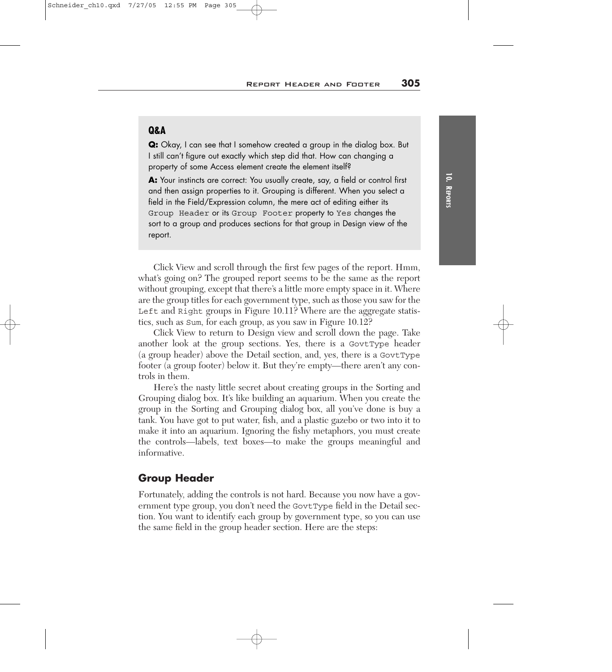### **Q&A**

**Q:** Okay, I can see that I somehow created a group in the dialog box. But I still can't figure out exactly which step did that. How can changing a property of some Access element create the element itself?

**A:** Your instincts are correct: You usually create, say, a field or control first and then assign properties to it. Grouping is different. When you select a field in the Field/Expression column, the mere act of editing either its Group Header or its Group Footer property to Yes changes the sort to a group and produces sections for that group in Design view of the report.

Click View and scroll through the first few pages of the report. Hmm, what's going on? The grouped report seems to be the same as the report without grouping, except that there's a little more empty space in it. Where are the group titles for each government type, such as those you saw for the Left and Right groups in Figure 10.11? Where are the aggregate statistics, such as Sum, for each group, as you saw in Figure 10.12?

Click View to return to Design view and scroll down the page. Take another look at the group sections. Yes, there is a GovtType header (a group header) above the Detail section, and, yes, there is a GovtType footer (a group footer) below it. But they're empty—there aren't any controls in them.

Here's the nasty little secret about creating groups in the Sorting and Grouping dialog box. It's like building an aquarium. When you create the group in the Sorting and Grouping dialog box, all you've done is buy a tank. You have got to put water, fish, and a plastic gazebo or two into it to make it into an aquarium. Ignoring the fishy metaphors, you must create the controls—labels, text boxes—to make the groups meaningful and informative.

#### **Group Header**

Fortunately, adding the controls is not hard. Because you now have a government type group, you don't need the GovtType field in the Detail section. You want to identify each group by government type, so you can use the same field in the group header section. Here are the steps: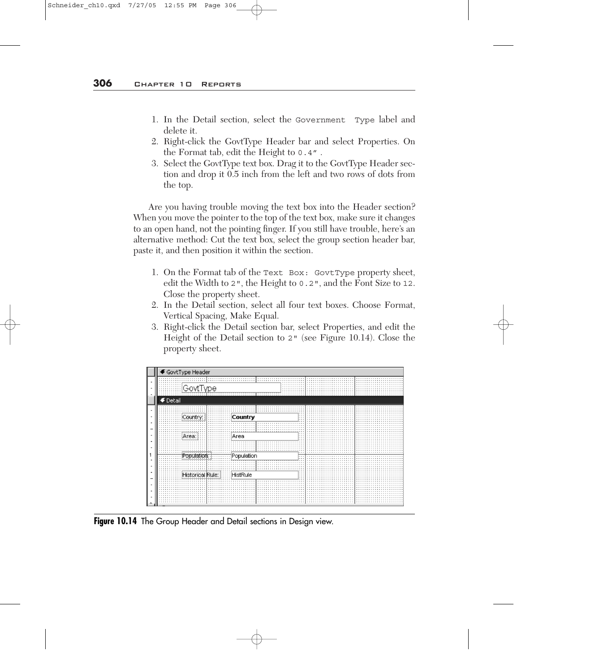- 1. In the Detail section, select the Government Type label and delete it.
- 2. Right-click the GovtType Header bar and select Properties. On the Format tab, edit the Height to 0.4" .
- 3. Select the GovtType text box. Drag it to the GovtType Header section and drop it 0.5 inch from the left and two rows of dots from the top.

Are you having trouble moving the text box into the Header section? When you move the pointer to the top of the text box, make sure it changes to an open hand, not the pointing finger. If you still have trouble, here's an alternative method: Cut the text box, select the group section header bar, paste it, and then position it within the section.

- 1. On the Format tab of the Text Box: GovtType property sheet, edit the Width to 2", the Height to 0.2", and the Font Size to 12. Close the property sheet.
- 2. In the Detail section, select all four text boxes. Choose Format, Vertical Spacing, Make Equal.
- 3. Right-click the Detail section bar, select Properties, and edit the Height of the Detail section to 2" (see Figure 10.14). Close the property sheet.

|                          | € GovtType Header             |          |  |
|--------------------------|-------------------------------|----------|--|
| ٠                        |                               |          |  |
| ٠                        | ⊞ GovtType                    |          |  |
| ٠                        |                               |          |  |
|                          | <b>E</b> Detail               |          |  |
|                          |                               |          |  |
| ٠                        |                               |          |  |
| ٠                        | Country                       | ۰.       |  |
| ٠                        |                               |          |  |
| $\overline{\phantom{0}}$ |                               |          |  |
|                          |                               |          |  |
| ٠                        | iArea<br>Area                 | ь.       |  |
|                          |                               |          |  |
| ٠                        |                               |          |  |
|                          | Population                    | ٠.       |  |
|                          |                               |          |  |
| ٠                        |                               |          |  |
| ٠                        | l⊞istorical Rüle∷ ∷∷ HistRule | $\cdots$ |  |
| $\overline{\phantom{0}}$ |                               |          |  |
| ٠                        |                               |          |  |
| ٠                        |                               |          |  |
| ٠                        |                               |          |  |
|                          |                               |          |  |
|                          |                               |          |  |

**Figure 10.14** The Group Header and Detail sections in Design view.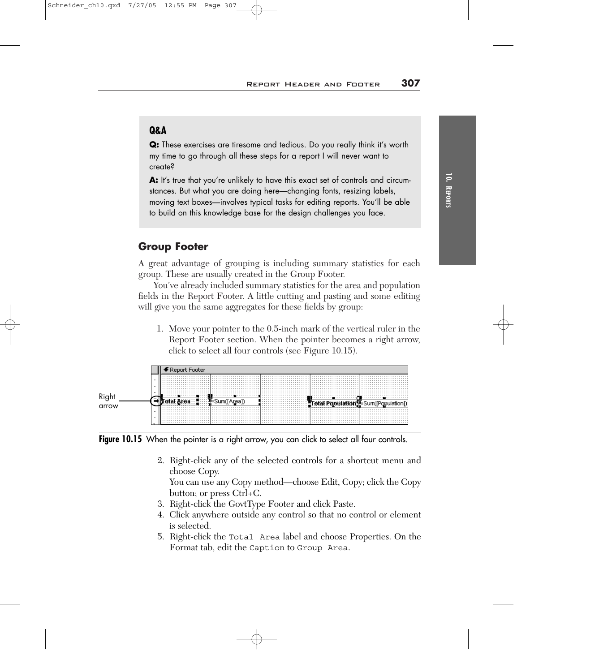#### **Q&A**

**Q:** These exercises are tiresome and tedious. Do you really think it's worth my time to go through all these steps for a report I will never want to create?

**A:** It's true that you're unlikely to have this exact set of controls and circumstances. But what you are doing here—changing fonts, resizing labels, moving text boxes—involves typical tasks for editing reports. You'll be able to build on this knowledge base for the design challenges you face.

#### **Group Footer**

A great advantage of grouping is including summary statistics for each group. These are usually created in the Group Footer.

You've already included summary statistics for the area and population fields in the Report Footer. A little cutting and pasting and some editing will give you the same aggregates for these fields by group:

1. Move your pointer to the 0.5-inch mark of the vertical ruler in the Report Footer section. When the pointer becomes a right arrow, click to select all four controls (see Figure 10.15).



**Figure 10.15** When the pointer is a right arrow, you can click to select all four controls.

2. Right-click any of the selected controls for a shortcut menu and choose Copy.

You can use any Copy method—choose Edit, Copy; click the Copy button; or press Ctrl+C.

- 3. Right-click the GovtType Footer and click Paste.
- 4. Click anywhere outside any control so that no control or element is selected.
- 5. Right-click the Total Area label and choose Properties. On the Format tab, edit the Caption to Group Area.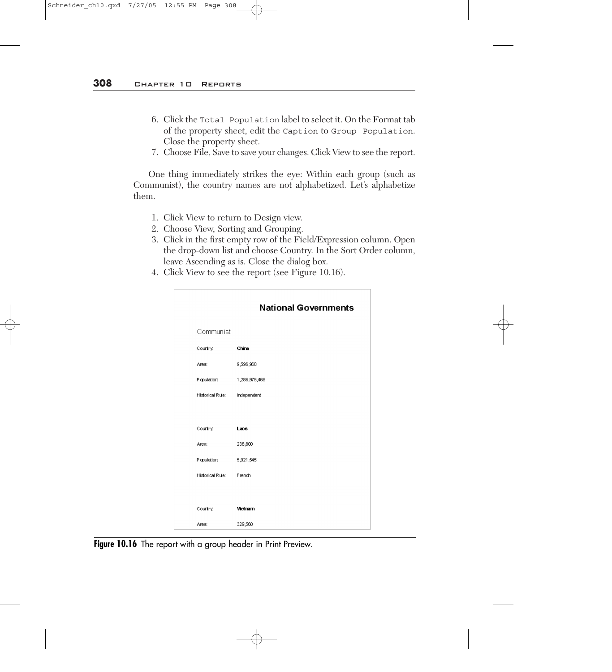#### **308** Chapter 10 Reports

- 6. Click the Total Population label to select it. On the Format tab of the property sheet, edit the Caption to Group Population. Close the property sheet.
- 7. Choose File, Save to save your changes. Click View to see the report.

One thing immediately strikes the eye: Within each group (such as Communist), the country names are not alphabetized. Let's alphabetize them.

- 1. Click View to return to Design view.
- 2. Choose View, Sorting and Grouping.
- 3. Click in the first empty row of the Field/Expression column. Open the drop-down list and choose Country. In the Sort Order column, leave Ascending as is. Close the dialog box.
- 4. Click View to see the report (see Figure 10.16).

|                  | <b>National Governments</b> |
|------------------|-----------------------------|
| Communist        |                             |
| Courtry.         | China                       |
| Area:            | 9,596,960                   |
| P opulation:     | 1,286,975,468               |
| Historical Rule: | Independent                 |
|                  |                             |
| Country.         | Laos                        |
| Area:            | 236,800                     |
| P opulation:     | 5,921,545                   |
| Historical Rule: | French                      |
|                  |                             |
| Country:         | Vietnam                     |
| Area:            | 329,560                     |

**Figure 10.16** The report with a group header in Print Preview.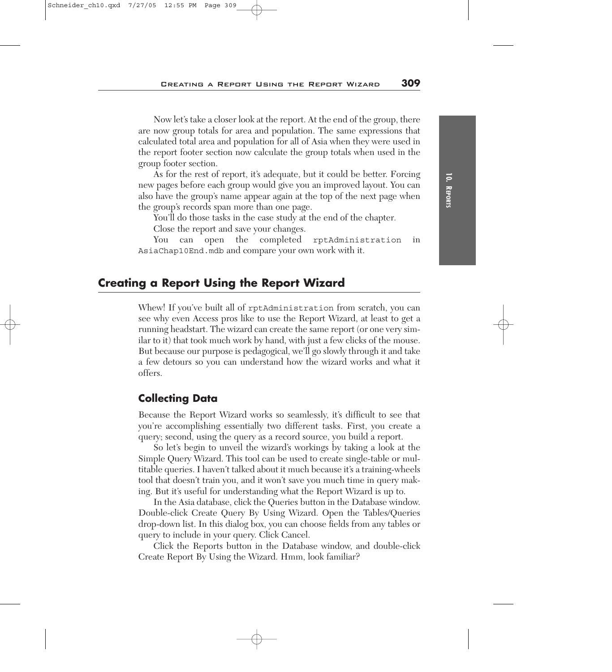Now let's take a closer look at the report. At the end of the group, there are now group totals for area and population. The same expressions that calculated total area and population for all of Asia when they were used in the report footer section now calculate the group totals when used in the group footer section.

As for the rest of report, it's adequate, but it could be better. Forcing new pages before each group would give you an improved layout. You can also have the group's name appear again at the top of the next page when the group's records span more than one page.

You'll do those tasks in the case study at the end of the chapter.

Close the report and save your changes.

You can open the completed rptAdministration in AsiaChap10End.mdb and compare your own work with it.

#### **Creating a Report Using the Report Wizard**

Whew! If you've built all of rptAdministration from scratch, you can see why even Access pros like to use the Report Wizard, at least to get a running headstart. The wizard can create the same report (or one very similar to it) that took much work by hand, with just a few clicks of the mouse. But because our purpose is pedagogical, we'll go slowly through it and take a few detours so you can understand how the wizard works and what it offers.

#### **Collecting Data**

Because the Report Wizard works so seamlessly, it's difficult to see that you're accomplishing essentially two different tasks. First, you create a query; second, using the query as a record source, you build a report.

So let's begin to unveil the wizard's workings by taking a look at the Simple Query Wizard. This tool can be used to create single-table or multitable queries. I haven't talked about it much because it's a training-wheels tool that doesn't train you, and it won't save you much time in query making. But it's useful for understanding what the Report Wizard is up to.

In the Asia database, click the Queries button in the Database window. Double-click Create Query By Using Wizard. Open the Tables/Queries drop-down list. In this dialog box, you can choose fields from any tables or query to include in your query. Click Cancel.

Click the Reports button in the Database window, and double-click Create Report By Using the Wizard. Hmm, look familiar?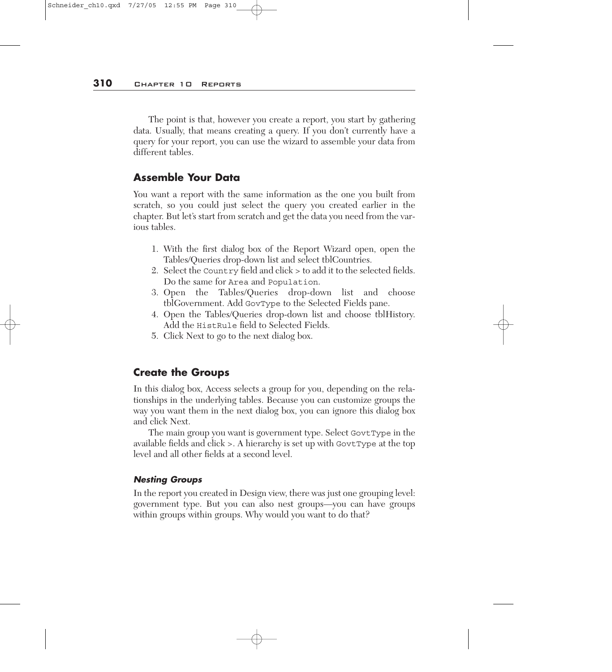#### Schneider\_ch10.qxd 7/27/05 12:55 PM Page 310

#### **310** Chapter 10 Reports

The point is that, however you create a report, you start by gathering data. Usually, that means creating a query. If you don't currently have a query for your report, you can use the wizard to assemble your data from different tables.

#### **Assemble Your Data**

You want a report with the same information as the one you built from scratch, so you could just select the query you created earlier in the chapter. But let's start from scratch and get the data you need from the various tables.

- 1. With the first dialog box of the Report Wizard open, open the Tables/Queries drop-down list and select tblCountries.
- 2. Select the Country field and click > to add it to the selected fields. Do the same for Area and Population.
- 3. Open the Tables/Queries drop-down list and choose tblGovernment. Add GovType to the Selected Fields pane.
- 4. Open the Tables/Queries drop-down list and choose tblHistory. Add the HistRule field to Selected Fields.
- 5. Click Next to go to the next dialog box.

#### **Create the Groups**

In this dialog box, Access selects a group for you, depending on the relationships in the underlying tables. Because you can customize groups the way you want them in the next dialog box, you can ignore this dialog box and click Next.

The main group you want is government type. Select GovtType in the available fields and click >. A hierarchy is set up with GovtType at the top level and all other fields at a second level.

#### *Nesting Groups*

In the report you created in Design view, there was just one grouping level: government type. But you can also nest groups—you can have groups within groups within groups. Why would you want to do that?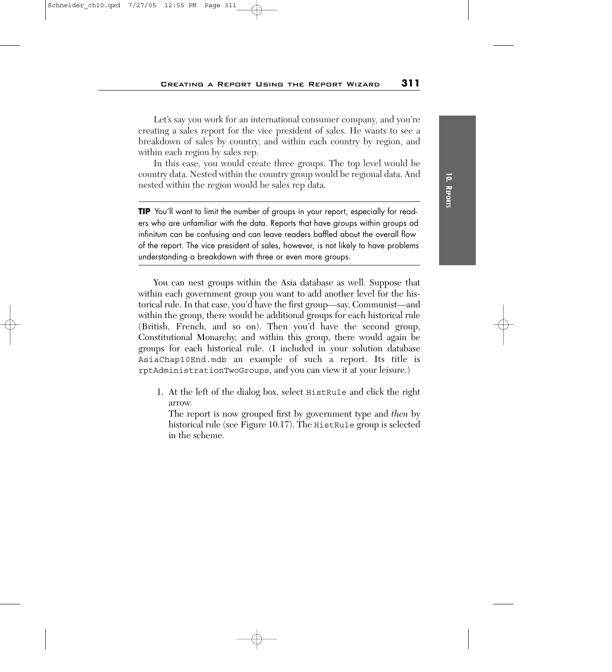Let's say you work for an international consumer company, and you're creating a sales report for the vice president of sales. He wants to see a breakdown of sales by country, and within each country by region, and within each region by sales rep.

In this case, you would create three groups. The top level would be country data. Nested within the country group would be regional data. And nested within the region would be sales rep data.

**TIP** You'll want to limit the number of groups in your report, especially for readers who are unfamiliar with the data. Reports that have groups within groups ad infinitum can be confusing and can leave readers baffled about the overall flow of the report. The vice president of sales, however, is not likely to have problems understanding a breakdown with three or even more groups.

You can nest groups within the Asia database as well. Suppose that within each government group you want to add another level for the historical rule. In that case, you'd have the first group—say, Communist—and within the group, there would be additional groups for each historical rule (British, French, and so on). Then you'd have the second group, Constitutional Monarchy, and within this group, there would again be groups for each historical rule. (I included in your solution database AsiaChap10End.mdb an example of such a report. Its title is rptAdministrationTwoGroups, and you can view it at your leisure.)

1. At the left of the dialog box, select HistRule and click the right arrow.

The report is now grouped first by government type and *then* by historical rule (see Figure 10.17). The HistRule group is selected in the scheme.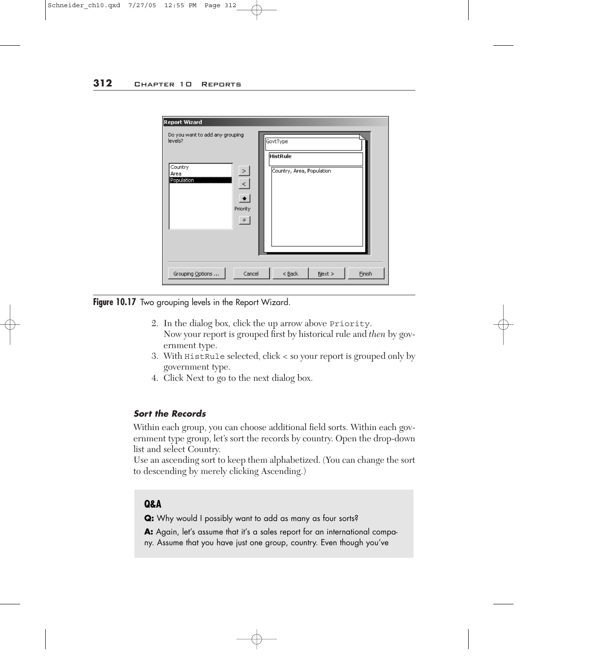#### **312** Chapter 10 Reports



**Figure 10.17** Two grouping levels in the Report Wizard.

- 2. In the dialog box, click the up arrow above Priority. Now your report is grouped first by historical rule and *then* by government type.
- 3. With HistRule selected, click < so your report is grouped only by government type.
- 4. Click Next to go to the next dialog box.

#### *Sort the Records*

Within each group, you can choose additional field sorts. Within each government type group, let's sort the records by country. Open the drop-down list and select Country.

Use an ascending sort to keep them alphabetized. (You can change the sort to descending by merely clicking Ascending.)

#### **Q&A**

**Q:** Why would I possibly want to add as many as four sorts?

**A:** Again, let's assume that it's a sales report for an international company. Assume that you have just one group, country. Even though you've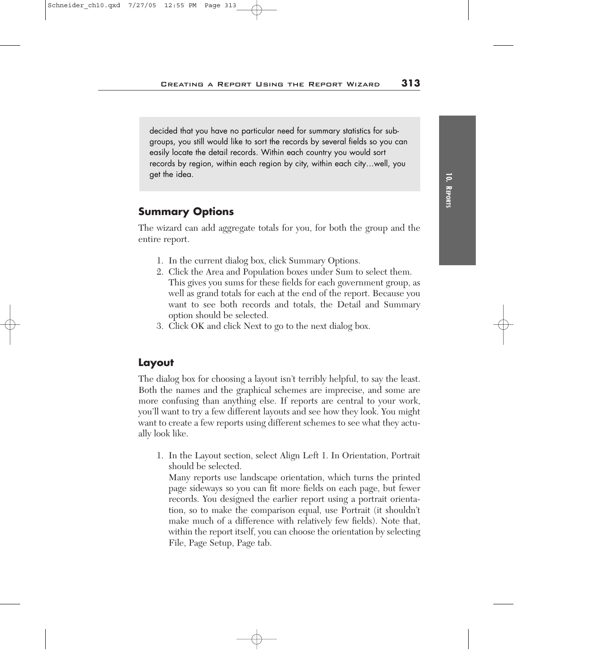decided that you have no particular need for summary statistics for subgroups, you still would like to sort the records by several fields so you can easily locate the detail records. Within each country you would sort records by region, within each region by city, within each city…well, you get the idea.

#### **Summary Options**

The wizard can add aggregate totals for you, for both the group and the entire report.

- 1. In the current dialog box, click Summary Options.
- 2. Click the Area and Population boxes under Sum to select them. This gives you sums for these fields for each government group, as well as grand totals for each at the end of the report. Because you want to see both records and totals, the Detail and Summary option should be selected.
- 3. Click OK and click Next to go to the next dialog box.

#### **Layout**

The dialog box for choosing a layout isn't terribly helpful, to say the least. Both the names and the graphical schemes are imprecise, and some are more confusing than anything else. If reports are central to your work, you'll want to try a few different layouts and see how they look. You might want to create a few reports using different schemes to see what they actually look like.

1. In the Layout section, select Align Left 1. In Orientation, Portrait should be selected.

Many reports use landscape orientation, which turns the printed page sideways so you can fit more fields on each page, but fewer records. You designed the earlier report using a portrait orientation, so to make the comparison equal, use Portrait (it shouldn't make much of a difference with relatively few fields). Note that, within the report itself, you can choose the orientation by selecting File, Page Setup, Page tab.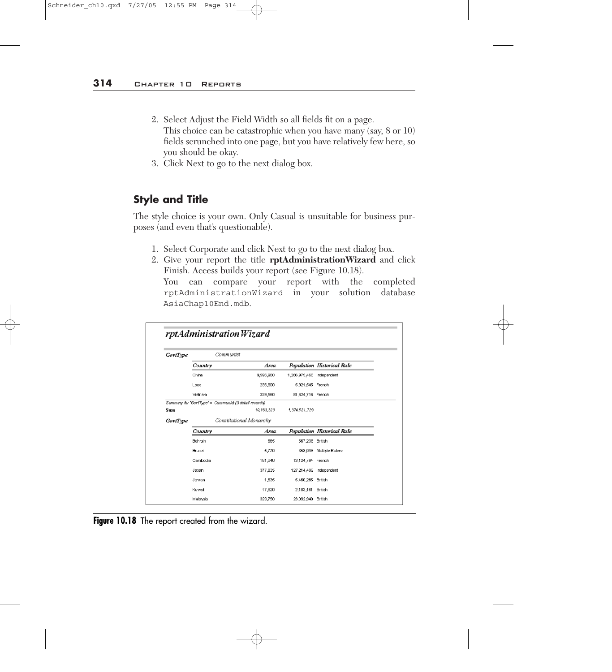- 2. Select Adjust the Field Width so all fields fit on a page. This choice can be catastrophic when you have many (say, 8 or 10) fields scrunched into one page, but you have relatively few here, so you should be okay.
- 3. Click Next to go to the next dialog box.

## **Style and Title**

The style choice is your own. Only Casual is unsuitable for business purposes (and even that's questionable).

- 1. Select Corporate and click Next to go to the next dialog box.
- 2. Give your report the title **rptAdministrationWizard** and click Finish. Access builds your report (see Figure 10.18).

You can compare your report with the completed rptAdministrationWizard in your solution database AsiaChap10End.mdb.

| GovtType |          | Communist                                             |                           |                            |
|----------|----------|-------------------------------------------------------|---------------------------|----------------------------|
|          | Country  | Area                                                  |                           | Population Historical Rule |
|          | China    | 9,596,960                                             | 1,266,975,468 Independent |                            |
|          | Laos     | 236,800                                               | 5,921,545 French          |                            |
|          | Vietnam  | 329,560                                               | 81,624,716 French         |                            |
|          |          | Summary for 'GovtType' = Communist (3 detail records) |                           |                            |
| Sum      |          | 10, 163, 320                                          | 1,374,521,729             |                            |
| GovtType |          | Constitutional Monarchy                               |                           |                            |
|          |          |                                                       |                           |                            |
|          | Country  | Area                                                  |                           | Population Historical Rule |
|          | Bahrain  | 665                                                   | 667,238 British           |                            |
|          | Brunei   | 5,770                                                 |                           | 358,098 Multiple Rulers    |
|          | Cambodia | 181,040                                               | 13.124.764 French         |                            |
|          | Japan    | 377,835                                               | 127,214,499 Independent   |                            |
|          | Jordan   | 1,635                                                 | 5.460,265 British         |                            |
|          | Kuwait   | 17,820                                                | 2,183,161 British         |                            |

**Figure 10.18** The report created from the wizard.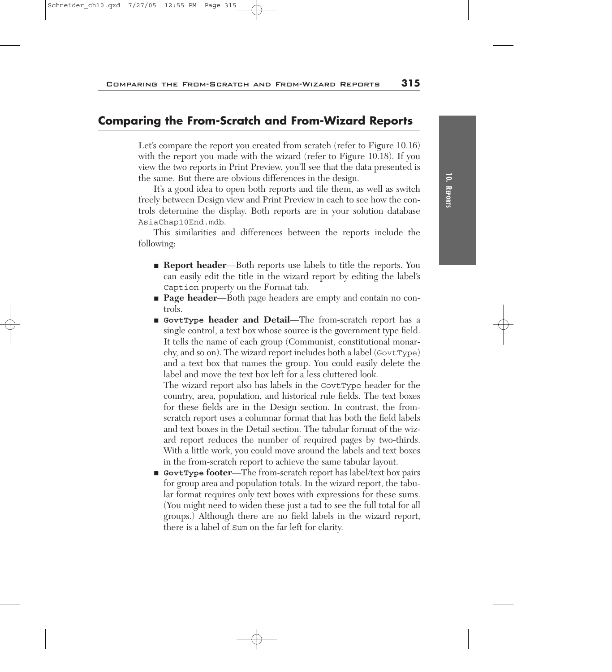#### **Comparing the From-Scratch and From-Wizard Reports**

Let's compare the report you created from scratch (refer to Figure 10.16) with the report you made with the wizard (refer to Figure 10.18). If you view the two reports in Print Preview, you'll see that the data presented is the same. But there are obvious differences in the design.

It's a good idea to open both reports and tile them, as well as switch freely between Design view and Print Preview in each to see how the controls determine the display. Both reports are in your solution database AsiaChap10End.mdb.

This similarities and differences between the reports include the following:

- **Report header**—Both reports use labels to title the reports. You can easily edit the title in the wizard report by editing the label's Caption property on the Format tab.
- **Page header**—Both page headers are empty and contain no controls.
- **GovtType header and Detail**—The from-scratch report has a single control, a text box whose source is the government type field. It tells the name of each group (Communist, constitutional monarchy, and so on). The wizard report includes both a label (GovtType) and a text box that names the group. You could easily delete the label and move the text box left for a less cluttered look.

The wizard report also has labels in the GovtType header for the country, area, population, and historical rule fields. The text boxes for these fields are in the Design section. In contrast, the fromscratch report uses a columnar format that has both the field labels and text boxes in the Detail section. The tabular format of the wizard report reduces the number of required pages by two-thirds. With a little work, you could move around the labels and text boxes in the from-scratch report to achieve the same tabular layout.

■ **GovtType footer**—The from-scratch report has label/text box pairs for group area and population totals. In the wizard report, the tabular format requires only text boxes with expressions for these sums. (You might need to widen these just a tad to see the full total for all groups.) Although there are no field labels in the wizard report, there is a label of Sum on the far left for clarity.

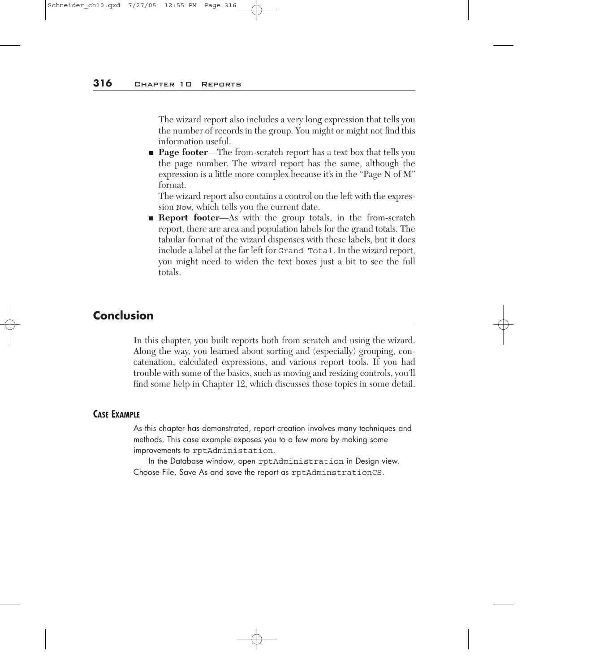#### Schneider\_ch10.qxd 7/27/05 12:55 PM Page 316

The wizard report also includes a very long expression that tells you the number of records in the group. You might or might not find this information useful.

■ **Page footer**—The from-scratch report has a text box that tells you the page number. The wizard report has the same, although the expression is a little more complex because it's in the "Page N of M" format.

The wizard report also contains a control on the left with the expression Now, which tells you the current date.

■ **Report footer**—As with the group totals, in the from-scratch report, there are area and population labels for the grand totals. The tabular format of the wizard dispenses with these labels, but it does include a label at the far left for Grand Total. In the wizard report, you might need to widen the text boxes just a bit to see the full totals.

## **Conclusion**

In this chapter, you built reports both from scratch and using the wizard. Along the way, you learned about sorting and (especially) grouping, concatenation, calculated expressions, and various report tools. If you had trouble with some of the basics, such as moving and resizing controls, you'll find some help in Chapter 12, which discusses these topics in some detail.

#### **CASE EXAMPLE**

As this chapter has demonstrated, report creation involves many techniques and methods. This case example exposes you to a few more by making some improvements to rptAdministation.

In the Database window, open rptAdministration in Design view. Choose File, Save As and save the report as rptAdminstrationCS.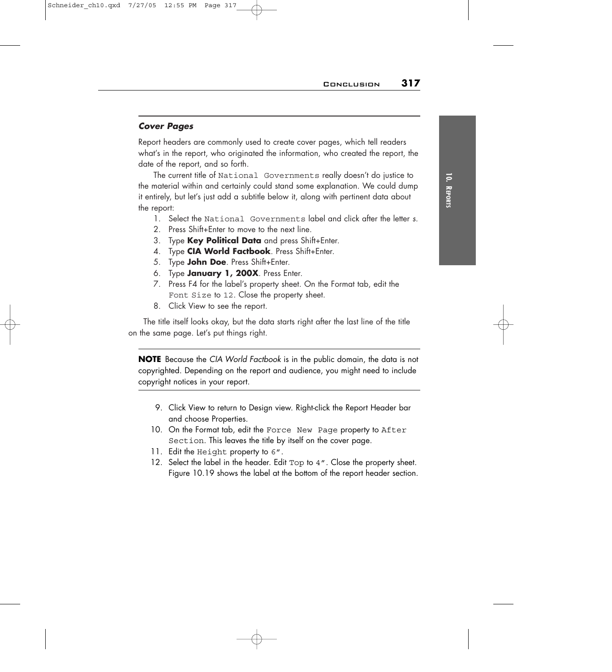#### *Cover Pages*

Report headers are commonly used to create cover pages, which tell readers what's in the report, who originated the information, who created the report, the date of the report, and so forth.

The current title of National Governments really doesn't do justice to the material within and certainly could stand some explanation. We could dump it entirely, but let's just add a subtitle below it, along with pertinent data about the report:

- 1. Select the National Governments label and click after the letter *s*.
- 2. Press Shift+Enter to move to the next line.
- 3. Type **Key Political Data** and press Shift+Enter.
- 4. Type **CIA World Factbook**. Press Shift+Enter.
- 5. Type **John Doe**. Press Shift+Enter.
- 6. Type **January 1, 200X**. Press Enter.
- 7. Press F4 for the label's property sheet. On the Format tab, edit the Font Size to 12. Close the property sheet.
- 8. Click View to see the report.

The title itself looks okay, but the data starts right after the last line of the title on the same page. Let's put things right.

**NOTE** Because the *CIA World Factbook* is in the public domain, the data is not copyrighted. Depending on the report and audience, you might need to include copyright notices in your report.

- 9. Click View to return to Design view. Right-click the Report Header bar and choose Properties.
- 10. On the Format tab, edit the Force New Page property to After Section. This leaves the title by itself on the cover page.
- 11. Edit the Height property to 6".
- 12. Select the label in the header. Edit Top to 4". Close the property sheet. Figure 10.19 shows the label at the bottom of the report header section.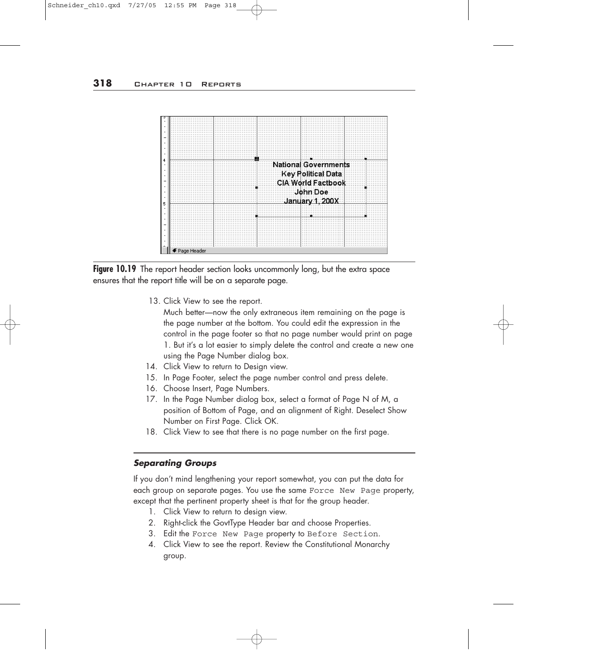**318** Chapter 10 Reports





13. Click View to see the report.

Much better—now the only extraneous item remaining on the page is the page number at the bottom. You could edit the expression in the control in the page footer so that no page number would print on page 1. But it's a lot easier to simply delete the control and create a new one using the Page Number dialog box.

- 14. Click View to return to Design view.
- 15. In Page Footer, select the page number control and press delete.
- 16. Choose Insert, Page Numbers.
- 17. In the Page Number dialog box, select a format of Page N of M, a position of Bottom of Page, and an alignment of Right. Deselect Show Number on First Page. Click OK.
- 18. Click View to see that there is no page number on the first page.

#### *Separating Groups*

If you don't mind lengthening your report somewhat, you can put the data for each group on separate pages. You use the same Force New Page property, except that the pertinent property sheet is that for the group header.

- 1. Click View to return to design view.
- 2. Right-click the GovtType Header bar and choose Properties.
- 3. Edit the Force New Page property to Before Section.
- 4. Click View to see the report. Review the Constitutional Monarchy group.